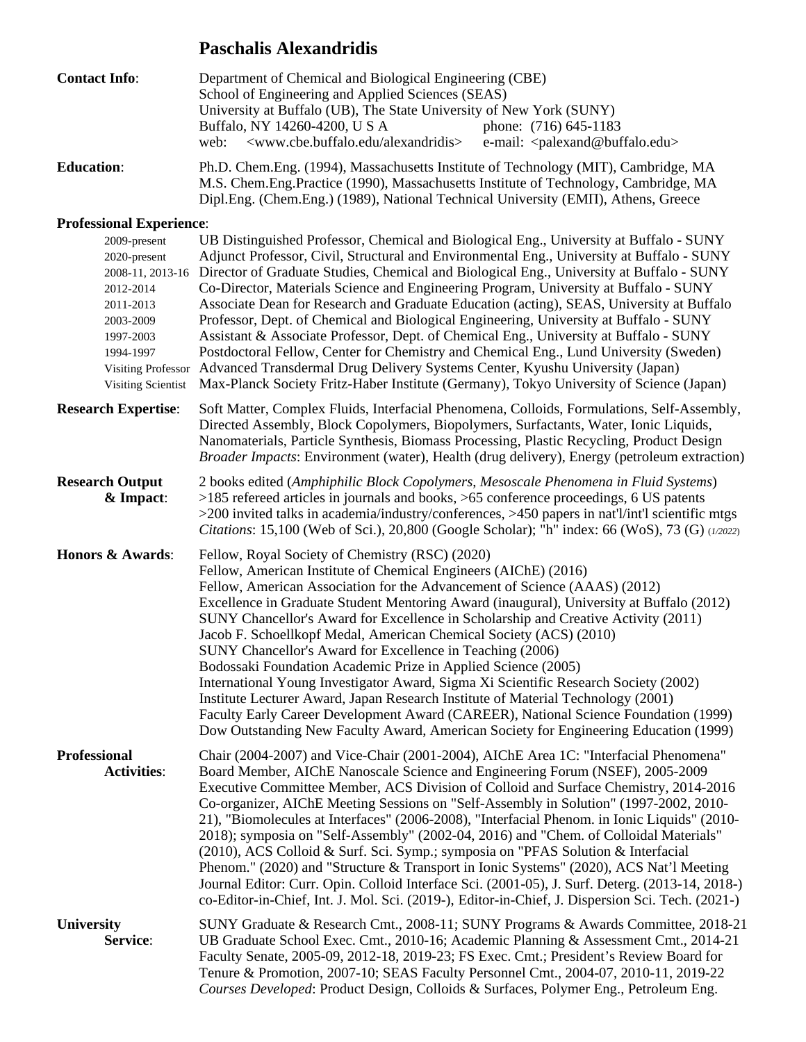# **Paschalis Alexandridis**

| <b>Contact Info:</b>                                                                                                       | Department of Chemical and Biological Engineering (CBE)<br>School of Engineering and Applied Sciences (SEAS)<br>University at Buffalo (UB), The State University of New York (SUNY)<br>Buffalo, NY 14260-4200, U S A<br>phone: (716) 645-1183<br><www.cbe.buffalo.edu alexandridis=""><br/>web:<br/>e-mail: <palexand@buffalo.edu></palexand@buffalo.edu></www.cbe.buffalo.edu>                                                                                                                                                                                                                                                                                                                                                                                                                                                                                                                                                                               |
|----------------------------------------------------------------------------------------------------------------------------|---------------------------------------------------------------------------------------------------------------------------------------------------------------------------------------------------------------------------------------------------------------------------------------------------------------------------------------------------------------------------------------------------------------------------------------------------------------------------------------------------------------------------------------------------------------------------------------------------------------------------------------------------------------------------------------------------------------------------------------------------------------------------------------------------------------------------------------------------------------------------------------------------------------------------------------------------------------|
| <b>Education:</b>                                                                                                          | Ph.D. Chem.Eng. (1994), Massachusetts Institute of Technology (MIT), Cambridge, MA<br>M.S. Chem.Eng.Practice (1990), Massachusetts Institute of Technology, Cambridge, MA<br>Dipl.Eng. (Chem.Eng.) (1989), National Technical University (EMII), Athens, Greece                                                                                                                                                                                                                                                                                                                                                                                                                                                                                                                                                                                                                                                                                               |
| <b>Professional Experience:</b>                                                                                            |                                                                                                                                                                                                                                                                                                                                                                                                                                                                                                                                                                                                                                                                                                                                                                                                                                                                                                                                                               |
| 2009-present<br>2020-present<br>2012-2014<br>2011-2013<br>2003-2009<br>1997-2003<br>1994-1997<br><b>Visiting Scientist</b> | UB Distinguished Professor, Chemical and Biological Eng., University at Buffalo - SUNY<br>Adjunct Professor, Civil, Structural and Environmental Eng., University at Buffalo - SUNY<br>2008-11, 2013-16 Director of Graduate Studies, Chemical and Biological Eng., University at Buffalo - SUNY<br>Co-Director, Materials Science and Engineering Program, University at Buffalo - SUNY<br>Associate Dean for Research and Graduate Education (acting), SEAS, University at Buffalo<br>Professor, Dept. of Chemical and Biological Engineering, University at Buffalo - SUNY<br>Assistant & Associate Professor, Dept. of Chemical Eng., University at Buffalo - SUNY<br>Postdoctoral Fellow, Center for Chemistry and Chemical Eng., Lund University (Sweden)<br>Visiting Professor Advanced Transdermal Drug Delivery Systems Center, Kyushu University (Japan)<br>Max-Planck Society Fritz-Haber Institute (Germany), Tokyo University of Science (Japan) |
| <b>Research Expertise:</b>                                                                                                 | Soft Matter, Complex Fluids, Interfacial Phenomena, Colloids, Formulations, Self-Assembly,<br>Directed Assembly, Block Copolymers, Biopolymers, Surfactants, Water, Ionic Liquids,<br>Nanomaterials, Particle Synthesis, Biomass Processing, Plastic Recycling, Product Design<br><i>Broader Impacts:</i> Environment (water), Health (drug delivery), Energy (petroleum extraction)                                                                                                                                                                                                                                                                                                                                                                                                                                                                                                                                                                          |
| <b>Research Output</b><br>& Impact:                                                                                        | 2 books edited (Amphiphilic Block Copolymers, Mesoscale Phenomena in Fluid Systems)<br>$>185$ refereed articles in journals and books, $>65$ conference proceedings, 6 US patents<br>$>$ 200 invited talks in academia/industry/conferences, $>$ 450 papers in nat'l/int'l scientific mtgs<br>Citations: 15,100 (Web of Sci.), 20,800 (Google Scholar); "h" index: 66 (WoS), 73 (G) (1/2022)                                                                                                                                                                                                                                                                                                                                                                                                                                                                                                                                                                  |
| <b>Honors &amp; Awards:</b>                                                                                                | Fellow, Royal Society of Chemistry (RSC) (2020)<br>Fellow, American Institute of Chemical Engineers (AIChE) (2016)<br>Fellow, American Association for the Advancement of Science (AAAS) (2012)<br>Excellence in Graduate Student Mentoring Award (inaugural), University at Buffalo (2012)<br>SUNY Chancellor's Award for Excellence in Scholarship and Creative Activity (2011)<br>Jacob F. Schoellkopf Medal, American Chemical Society (ACS) (2010)<br>SUNY Chancellor's Award for Excellence in Teaching (2006)<br>Bodossaki Foundation Academic Prize in Applied Science (2005)<br>International Young Investigator Award, Sigma Xi Scientific Research Society (2002)<br>Institute Lecturer Award, Japan Research Institute of Material Technology (2001)<br>Faculty Early Career Development Award (CAREER), National Science Foundation (1999)<br>Dow Outstanding New Faculty Award, American Society for Engineering Education (1999)               |
| <b>Professional</b><br><b>Activities:</b>                                                                                  | Chair (2004-2007) and Vice-Chair (2001-2004), AIChE Area 1C: "Interfacial Phenomena"<br>Board Member, AIChE Nanoscale Science and Engineering Forum (NSEF), 2005-2009<br>Executive Committee Member, ACS Division of Colloid and Surface Chemistry, 2014-2016<br>Co-organizer, AIChE Meeting Sessions on "Self-Assembly in Solution" (1997-2002, 2010-<br>21), "Biomolecules at Interfaces" (2006-2008), "Interfacial Phenom. in Ionic Liquids" (2010-<br>2018); symposia on "Self-Assembly" (2002-04, 2016) and "Chem. of Colloidal Materials"<br>$(2010)$ , ACS Colloid & Surf. Sci. Symp.; symposia on "PFAS Solution & Interfacial<br>Phenom." (2020) and "Structure & Transport in Ionic Systems" (2020), ACS Nat'l Meeting<br>Journal Editor: Curr. Opin. Colloid Interface Sci. (2001-05), J. Surf. Deterg. (2013-14, 2018-)<br>co-Editor-in-Chief, Int. J. Mol. Sci. (2019-), Editor-in-Chief, J. Dispersion Sci. Tech. (2021-)                       |
| <b>University</b><br>Service:                                                                                              | SUNY Graduate & Research Cmt., 2008-11; SUNY Programs & Awards Committee, 2018-21<br>UB Graduate School Exec. Cmt., 2010-16; Academic Planning & Assessment Cmt., 2014-21<br>Faculty Senate, 2005-09, 2012-18, 2019-23; FS Exec. Cmt.; President's Review Board for<br>Tenure & Promotion, 2007-10; SEAS Faculty Personnel Cmt., 2004-07, 2010-11, 2019-22<br>Courses Developed: Product Design, Colloids & Surfaces, Polymer Eng., Petroleum Eng.                                                                                                                                                                                                                                                                                                                                                                                                                                                                                                            |